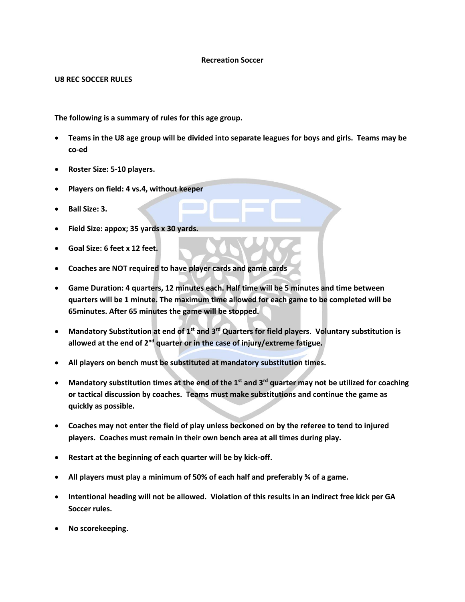## **Recreation Soccer**

**U8 REC SOCCER RULES**

**The following is a summary of rules for this age group.** 

- **Teams in the U8 age group will be divided into separate leagues for boys and girls. Teams may be co-ed**
- **Roster Size: 5-10 players.**
- **Players on field: 4 vs.4, without keeper**
- **Ball Size: 3.**
- **Field Size: appox; 35 yards x 30 yards.**
- **Goal Size: 6 feet x 12 feet.**
- **Coaches are NOT required to have player cards and game cards**
- **Game Duration: 4 quarters, 12 minutes each. Half time will be 5 minutes and time between quarters will be 1 minute. The maximum time allowed for each game to be completed will be 65minutes. After 65 minutes the game will be stopped.**
- **Mandatory Substitution at end of 1st and 3rd Quarters for field players. Voluntary substitution is allowed at the end of 2nd quarter or in the case of injury/extreme fatigue.**
- **All players on bench must be substituted at mandatory substitution times.**
- **Mandatory substitution times at the end of the 1st and 3rd quarter may not be utilized for coaching or tactical discussion by coaches. Teams must make substitutions and continue the game as quickly as possible.**
- **Coaches may not enter the field of play unless beckoned on by the referee to tend to injured players. Coaches must remain in their own bench area at all times during play.**
- **Restart at the beginning of each quarter will be by kick-off.**
- **All players must play a minimum of 50% of each half and preferably ¾ of a game.**
- **Intentional heading will not be allowed. Violation of this results in an indirect free kick per GA Soccer rules.**
- **No scorekeeping.**